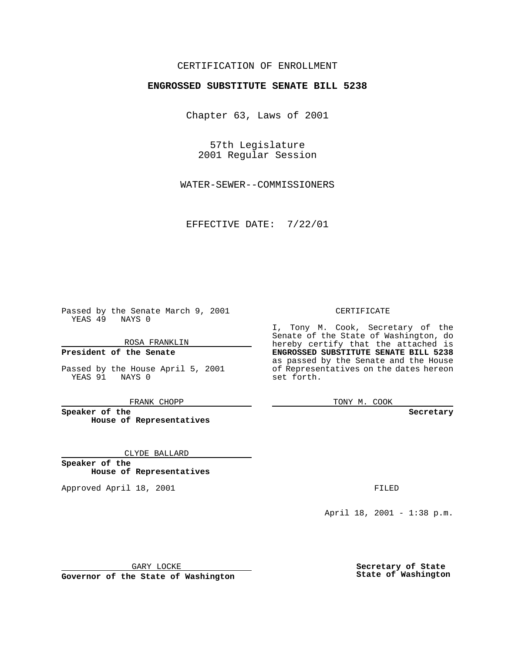### CERTIFICATION OF ENROLLMENT

# **ENGROSSED SUBSTITUTE SENATE BILL 5238**

Chapter 63, Laws of 2001

57th Legislature 2001 Regular Session

WATER-SEWER--COMMISSIONERS

EFFECTIVE DATE: 7/22/01

Passed by the Senate March 9, 2001 YEAS 49 NAYS 0

ROSA FRANKLIN

**President of the Senate**

Passed by the House April 5, 2001 YEAS 91 NAYS 0

FRANK CHOPP

**Speaker of the House of Representatives**

CLYDE BALLARD

**Speaker of the House of Representatives**

Approved April 18, 2001 **FILED** 

#### CERTIFICATE

I, Tony M. Cook, Secretary of the Senate of the State of Washington, do hereby certify that the attached is **ENGROSSED SUBSTITUTE SENATE BILL 5238** as passed by the Senate and the House of Representatives on the dates hereon set forth.

TONY M. COOK

**Secretary**

April 18, 2001 - 1:38 p.m.

GARY LOCKE

**Governor of the State of Washington**

**Secretary of State State of Washington**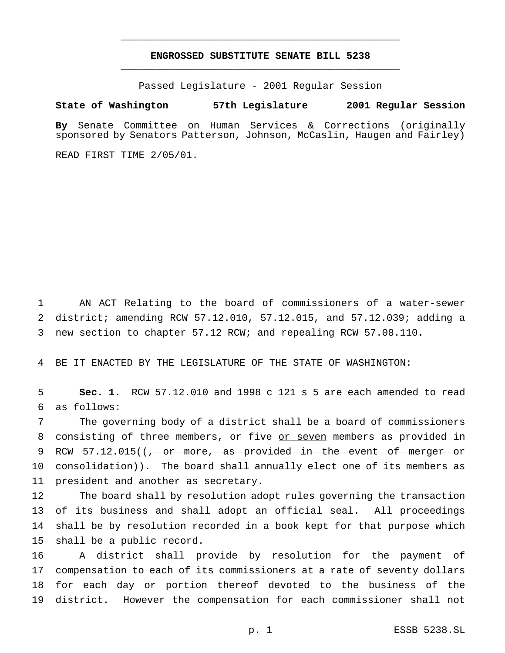## **ENGROSSED SUBSTITUTE SENATE BILL 5238** \_\_\_\_\_\_\_\_\_\_\_\_\_\_\_\_\_\_\_\_\_\_\_\_\_\_\_\_\_\_\_\_\_\_\_\_\_\_\_\_\_\_\_\_\_\_\_

\_\_\_\_\_\_\_\_\_\_\_\_\_\_\_\_\_\_\_\_\_\_\_\_\_\_\_\_\_\_\_\_\_\_\_\_\_\_\_\_\_\_\_\_\_\_\_

Passed Legislature - 2001 Regular Session

#### **State of Washington 57th Legislature 2001 Regular Session**

**By** Senate Committee on Human Services & Corrections (originally sponsored by Senators Patterson, Johnson, McCaslin, Haugen and Fairley)

READ FIRST TIME 2/05/01.

1 AN ACT Relating to the board of commissioners of a water-sewer 2 district; amending RCW 57.12.010, 57.12.015, and 57.12.039; adding a 3 new section to chapter 57.12 RCW; and repealing RCW 57.08.110.

4 BE IT ENACTED BY THE LEGISLATURE OF THE STATE OF WASHINGTON:

5 **Sec. 1.** RCW 57.12.010 and 1998 c 121 s 5 are each amended to read 6 as follows:

7 The governing body of a district shall be a board of commissioners 8 consisting of three members, or five or seven members as provided in 9 RCW 57.12.015((<del>, or more, as provided in the event of merger or</del> 10 consolidation)). The board shall annually elect one of its members as 11 president and another as secretary.

 The board shall by resolution adopt rules governing the transaction of its business and shall adopt an official seal. All proceedings shall be by resolution recorded in a book kept for that purpose which shall be a public record.

 A district shall provide by resolution for the payment of compensation to each of its commissioners at a rate of seventy dollars for each day or portion thereof devoted to the business of the district. However the compensation for each commissioner shall not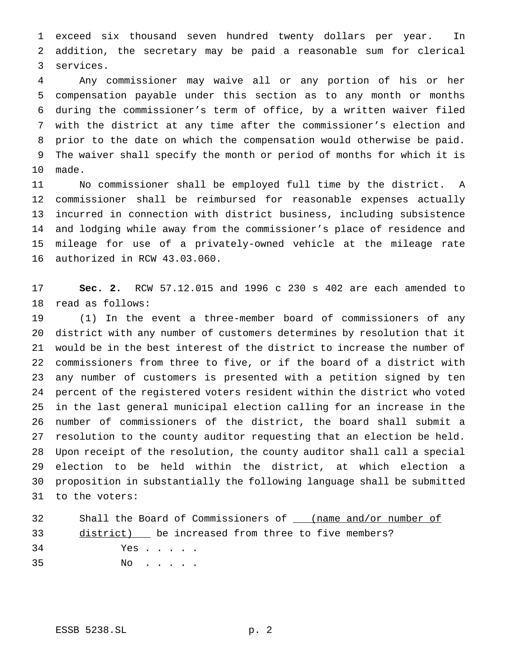exceed six thousand seven hundred twenty dollars per year. In addition, the secretary may be paid a reasonable sum for clerical services.

 Any commissioner may waive all or any portion of his or her compensation payable under this section as to any month or months during the commissioner's term of office, by a written waiver filed with the district at any time after the commissioner's election and prior to the date on which the compensation would otherwise be paid. The waiver shall specify the month or period of months for which it is made.

 No commissioner shall be employed full time by the district. A commissioner shall be reimbursed for reasonable expenses actually incurred in connection with district business, including subsistence and lodging while away from the commissioner's place of residence and mileage for use of a privately-owned vehicle at the mileage rate authorized in RCW 43.03.060.

 **Sec. 2.** RCW 57.12.015 and 1996 c 230 s 402 are each amended to read as follows:

 (1) In the event a three-member board of commissioners of any district with any number of customers determines by resolution that it would be in the best interest of the district to increase the number of commissioners from three to five, or if the board of a district with any number of customers is presented with a petition signed by ten percent of the registered voters resident within the district who voted in the last general municipal election calling for an increase in the number of commissioners of the district, the board shall submit a resolution to the county auditor requesting that an election be held. Upon receipt of the resolution, the county auditor shall call a special election to be held within the district, at which election a proposition in substantially the following language shall be submitted to the voters:

| 32 | Shall the Board of Commissioners of (name and/or number of |
|----|------------------------------------------------------------|
|    | 33 district) be increased from three to five members?      |
| 34 | Yes                                                        |
| 35 | NO                                                         |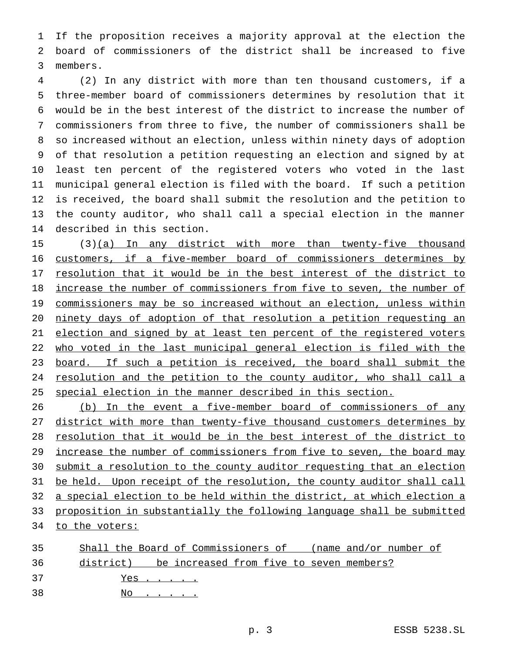If the proposition receives a majority approval at the election the board of commissioners of the district shall be increased to five members.

 (2) In any district with more than ten thousand customers, if a three-member board of commissioners determines by resolution that it would be in the best interest of the district to increase the number of commissioners from three to five, the number of commissioners shall be so increased without an election, unless within ninety days of adoption of that resolution a petition requesting an election and signed by at least ten percent of the registered voters who voted in the last municipal general election is filed with the board. If such a petition is received, the board shall submit the resolution and the petition to the county auditor, who shall call a special election in the manner described in this section.

15 (3)(a) In any district with more than twenty-five thousand customers, if a five-member board of commissioners determines by 17 resolution that it would be in the best interest of the district to 18 <u>increase the number of commissioners from five to seven, the number of</u> commissioners may be so increased without an election, unless within ninety days of adoption of that resolution a petition requesting an 21 election and signed by at least ten percent of the registered voters who voted in the last municipal general election is filed with the 23 board. If such a petition is received, the board shall submit the 24 resolution and the petition to the county auditor, who shall call a special election in the manner described in this section.

26 (b) In the event a five-member board of commissioners of any 27 district with more than twenty-five thousand customers determines by resolution that it would be in the best interest of the district to 29 increase the number of commissioners from five to seven, the board may submit a resolution to the county auditor requesting that an election 31 be held. Upon receipt of the resolution, the county auditor shall call a special election to be held within the district, at which election a proposition in substantially the following language shall be submitted to the voters:

| 35 | Shall the Board of Commissioners of (name and/or number of |
|----|------------------------------------------------------------|
|    | 36 district) be increased from five to seven members?      |
| 37 | Yes                                                        |
| 38 | No                                                         |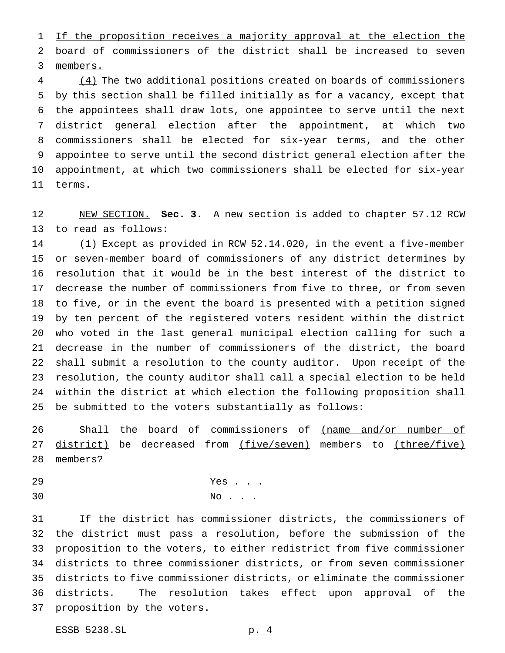1 If the proposition receives a majority approval at the election the board of commissioners of the district shall be increased to seven members.

 (4) The two additional positions created on boards of commissioners by this section shall be filled initially as for a vacancy, except that the appointees shall draw lots, one appointee to serve until the next district general election after the appointment, at which two commissioners shall be elected for six-year terms, and the other appointee to serve until the second district general election after the appointment, at which two commissioners shall be elected for six-year terms.

 NEW SECTION. **Sec. 3.** A new section is added to chapter 57.12 RCW to read as follows:

 (1) Except as provided in RCW 52.14.020, in the event a five-member or seven-member board of commissioners of any district determines by resolution that it would be in the best interest of the district to decrease the number of commissioners from five to three, or from seven to five, or in the event the board is presented with a petition signed by ten percent of the registered voters resident within the district who voted in the last general municipal election calling for such a decrease in the number of commissioners of the district, the board shall submit a resolution to the county auditor. Upon receipt of the resolution, the county auditor shall call a special election to be held within the district at which election the following proposition shall be submitted to the voters substantially as follows:

26 Shall the board of commissioners of (name and/or number of 27 district) be decreased from (five/seven) members to (three/five) members?

 Yes . . . 30 No . . .

 If the district has commissioner districts, the commissioners of the district must pass a resolution, before the submission of the proposition to the voters, to either redistrict from five commissioner districts to three commissioner districts, or from seven commissioner districts to five commissioner districts, or eliminate the commissioner districts. The resolution takes effect upon approval of the proposition by the voters.

ESSB 5238.SL p. 4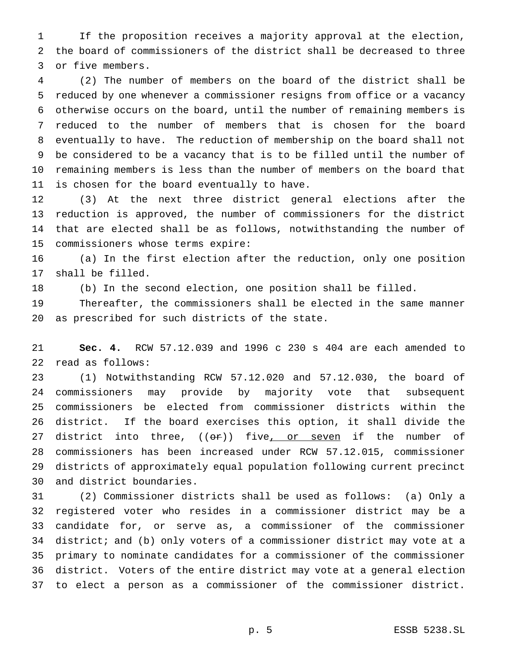If the proposition receives a majority approval at the election, the board of commissioners of the district shall be decreased to three or five members.

 (2) The number of members on the board of the district shall be reduced by one whenever a commissioner resigns from office or a vacancy otherwise occurs on the board, until the number of remaining members is reduced to the number of members that is chosen for the board eventually to have. The reduction of membership on the board shall not be considered to be a vacancy that is to be filled until the number of remaining members is less than the number of members on the board that is chosen for the board eventually to have.

 (3) At the next three district general elections after the reduction is approved, the number of commissioners for the district that are elected shall be as follows, notwithstanding the number of commissioners whose terms expire:

 (a) In the first election after the reduction, only one position shall be filled.

(b) In the second election, one position shall be filled.

 Thereafter, the commissioners shall be elected in the same manner as prescribed for such districts of the state.

 **Sec. 4.** RCW 57.12.039 and 1996 c 230 s 404 are each amended to read as follows:

 (1) Notwithstanding RCW 57.12.020 and 57.12.030, the board of commissioners may provide by majority vote that subsequent commissioners be elected from commissioner districts within the district. If the board exercises this option, it shall divide the 27 district into three,  $((\theta \hat{r}))$  five, or seven if the number of commissioners has been increased under RCW 57.12.015, commissioner districts of approximately equal population following current precinct and district boundaries.

 (2) Commissioner districts shall be used as follows: (a) Only a registered voter who resides in a commissioner district may be a candidate for, or serve as, a commissioner of the commissioner district; and (b) only voters of a commissioner district may vote at a primary to nominate candidates for a commissioner of the commissioner district. Voters of the entire district may vote at a general election to elect a person as a commissioner of the commissioner district.